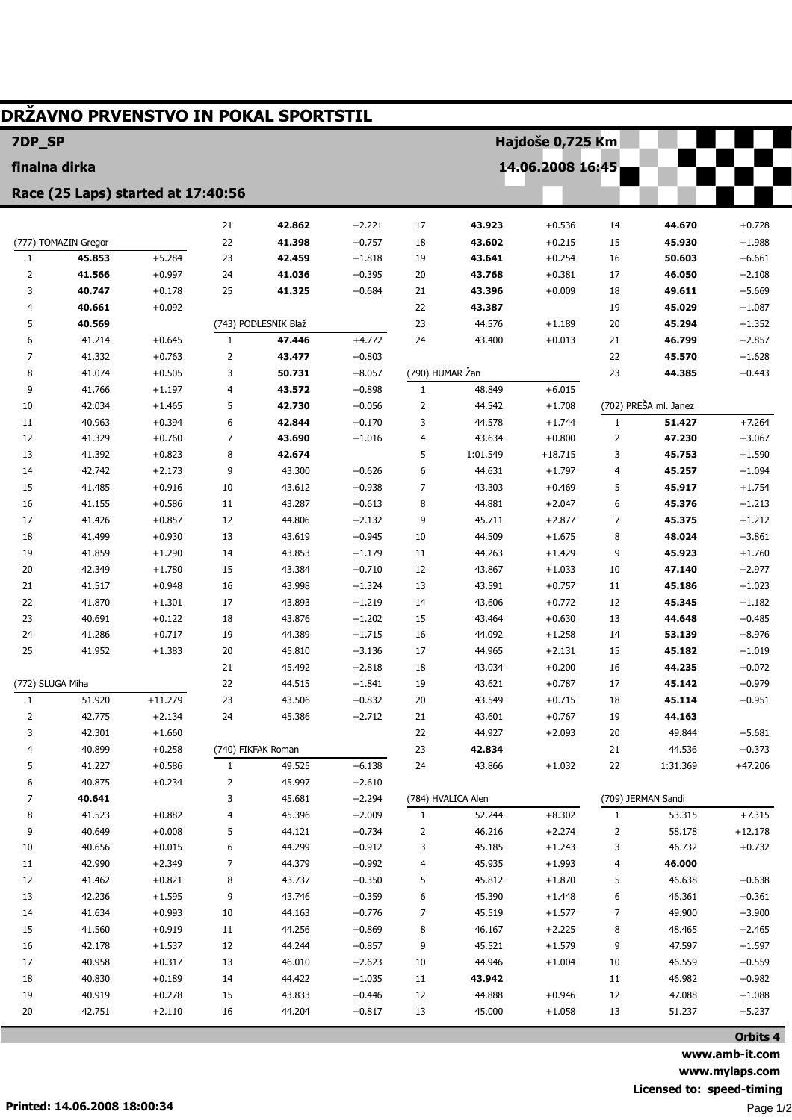| 7DP_SP           |                                    |                      |                |                      |                      |                  | Hajdoše 0,725 Km   |                      |                |                       |                      |
|------------------|------------------------------------|----------------------|----------------|----------------------|----------------------|------------------|--------------------|----------------------|----------------|-----------------------|----------------------|
| finalna dirka    |                                    |                      |                |                      |                      | 14.06.2008 16:45 |                    |                      |                |                       |                      |
|                  |                                    |                      |                |                      |                      |                  |                    |                      |                |                       |                      |
|                  | Race (25 Laps) started at 17:40:56 |                      |                |                      |                      |                  |                    |                      |                |                       |                      |
|                  |                                    |                      | 21             | 42.862               | $+2.221$             | 17               | 43.923             | $+0.536$             | 14             | 44.670                | $+0.728$             |
|                  | (777) TOMAZIN Gregor               |                      | 22             | 41.398               | $+0.757$             | 18               | 43.602             | $+0.215$             | 15             | 45.930                | $+1.988$             |
| $\mathbf{1}$     | 45.853                             | $+5.284$             | 23             | 42.459               | $+1.818$             | 19               | 43.641             | $+0.254$             | 16             | 50.603                | $+6.661$             |
| 2                | 41.566                             | $+0.997$             | 24             | 41.036               | $+0.395$             | 20               | 43.768             | $+0.381$             | 17             | 46.050                | $+2.108$             |
| 3                | 40.747                             | $+0.178$             | 25             | 41.325               | $+0.684$             | 21               | 43.396             | $+0.009$             | 18             | 49.611                | $+5.669$             |
| 4                | 40.661                             | $+0.092$             |                |                      |                      | 22               | 43.387             |                      | 19             | 45.029                | $+1.087$             |
| 5                | 40.569                             |                      |                | (743) PODLESNIK Blaž |                      | 23               | 44.576             | $+1.189$             | 20             | 45.294                | $+1.352$             |
| 6                | 41.214                             | $+0.645$             | $\mathbf{1}$   | 47.446               | $+4.772$             | 24               | 43.400             | $+0.013$             | 21             | 46.799                | $+2.857$             |
| 7                | 41.332                             | $+0.763$             | 2              | 43.477               | $+0.803$             |                  |                    |                      | 22             | 45.570                | $+1.628$             |
| 8                | 41.074                             | $+0.505$             | 3              | 50.731               | $+8.057$             | (790) HUMAR Žan  |                    |                      | 23             | 44.385                | $+0.443$             |
| 9                | 41.766                             | $+1.197$             | 4              | 43.572               | $+0.898$             | $\mathbf{1}$     | 48.849             | $+6.015$             |                |                       |                      |
| 10               | 42.034                             | $+1.465$             | 5              | 42.730               | $+0.056$             | 2                | 44.542             | $+1.708$             |                | (702) PREŠA ml. Janez |                      |
| 11               | 40.963                             | $+0.394$             | 6              | 42.844               | $+0.170$             | 3                | 44.578             | $+1.744$             | $\mathbf{1}$   | 51.427                | $+7.264$             |
| 12               | 41.329                             | $+0.760$             | $\overline{7}$ | 43.690               | $+1.016$             | 4                | 43.634             | $+0.800$             | $\overline{2}$ | 47.230                | $+3.067$             |
| 13               | 41.392                             | $+0.823$             | 8              | 42.674               |                      | 5                | 1:01.549           | $+18.715$            | 3              | 45.753                | $+1.590$             |
| 14               | 42.742                             | $+2.173$             | 9              | 43.300               | $+0.626$             | 6                | 44.631             | $+1.797$             | 4              | 45.257                | $+1.094$             |
| 15               | 41.485                             | $+0.916$             | 10             | 43.612               | $+0.938$             | 7                | 43.303             | $+0.469$             | 5              | 45.917                | $+1.754$             |
| 16               | 41.155                             | $+0.586$             | 11             | 43.287               | $+0.613$             | 8                | 44.881             | $+2.047$             | 6              | 45.376                | $+1.213$             |
| 17               | 41.426                             | $+0.857$             | 12             | 44.806               | $+2.132$             | 9                | 45.711<br>44.509   | $+2.877$             | 7              | 45.375                | $+1.212$<br>$+3.861$ |
| 18               | 41.499                             | $+0.930$<br>$+1.290$ | 13             | 43.619<br>43.853     | $+0.945$             | 10               | 44.263             | $+1.675$             | 8              | 48.024                | $+1.760$             |
| 19<br>20         | 41.859<br>42.349                   | $+1.780$             | 14<br>15       | 43.384               | $+1.179$<br>$+0.710$ | 11<br>12         | 43.867             | $+1.429$<br>$+1.033$ | 9<br>10        | 45.923<br>47.140      | $+2.977$             |
| 21               | 41.517                             | $+0.948$             | 16             | 43.998               | $+1.324$             | 13               | 43.591             | $+0.757$             | 11             | 45.186                | $+1.023$             |
| 22               | 41.870                             | $+1.301$             | 17             | 43.893               | $+1.219$             | 14               | 43.606             | $+0.772$             | 12             | 45.345                | $+1.182$             |
| 23               | 40.691                             | $+0.122$             | 18             | 43.876               | $+1.202$             | 15               | 43.464             | $+0.630$             | 13             | 44.648                | $+0.485$             |
| 24               | 41.286                             | $+0.717$             | 19             | 44.389               | $+1.715$             | 16               | 44.092             | $+1.258$             | 14             | 53.139                | $+8.976$             |
| 25               | 41.952                             | $+1.383$             | 20             | 45.810               | $+3.136$             | 17               | 44.965             | $+2.131$             | 15             | 45.182                | $+1.019$             |
|                  |                                    |                      | 21             | 45.492               | $+2.818$             | 18               | 43.034             | $+0.200$             | 16             | 44.235                | $+0.072$             |
| (772) SLUGA Miha |                                    |                      | 22             | 44.515               | $+1.841$             | 19               | 43.621             | $+0.787$             | 17             | 45.142                | $+0.979$             |
| ı                | 51.920                             | $+11.279$            | 23             | 43.506               | $+0.832$             | 20               | 43.549             | $+0.715$             | 18             | 45.114                | $+0.951$             |
| $\overline{2}$   | 42.775                             | $+2.134$             | 24             | 45.386               | $+2.712$             | 21               | 43.601             | $+0.767$             | 19             | 44.163                |                      |
| 3                | 42.301                             | $+1.660$             |                |                      |                      | 22               | 44.927             | $+2.093$             | 20             | 49.844                | $+5.681$             |
| 4                | 40.899                             | $+0.258$             |                | (740) FIKFAK Roman   |                      | 23               | 42.834             |                      | 21             | 44.536                | $+0.373$             |
| 5                | 41.227                             | $+0.586$             | $\mathbf{1}$   | 49.525               | $+6.138$             | 24               | 43.866             | $+1.032$             | 22             | 1:31.369              | $+47.206$            |
| 6                | 40.875                             | $+0.234$             | 2              | 45.997               | $+2.610$             |                  |                    |                      |                |                       |                      |
| 7                | 40.641                             |                      | 3              | 45.681               | $+2.294$             |                  | (784) HVALICA Alen |                      |                | (709) JERMAN Sandi    |                      |
| 8                | 41.523                             | $+0.882$             | 4              | 45.396               | $+2.009$             | $\mathbf{1}$     | 52.244             | $+8.302$             | $\mathbf{1}$   | 53.315                | $+7.315$             |
| 9                | 40.649                             | $+0.008$             | 5              | 44.121               | $+0.734$             | 2                | 46.216             | $+2.274$             | 2              | 58.178                | $+12.178$            |
| 10               | 40.656                             | $+0.015$             | 6              | 44.299               | $+0.912$             | 3                | 45.185             | $+1.243$             | 3              | 46.732                | $+0.732$             |
| 11               | 42.990                             | $+2.349$             | 7              | 44.379               | $+0.992$             | 4                | 45.935             | $+1.993$             | 4              | 46.000                |                      |
| 12               | 41.462                             | $+0.821$             | 8              | 43.737               | $+0.350$             | 5                | 45.812             | $+1.870$             | 5              | 46.638                | $+0.638$             |
| 13               | 42.236                             | $+1.595$             | 9              | 43.746               | $+0.359$             | 6                | 45.390             | $+1.448$             | 6              | 46.361                | $+0.361$             |
| 14               | 41.634                             | $+0.993$             | 10             | 44.163               | $+0.776$             | 7                | 45.519             | $+1.577$             | $\overline{7}$ | 49.900                | $+3.900$             |
| 15               | 41.560                             | $+0.919$             | 11             | 44.256               | $+0.869$             | 8                | 46.167             | $+2.225$             | 8              | 48.465                | $+2.465$             |
| 16               | 42.178                             | $+1.537$             | 12             | 44.244               | $+0.857$             | 9                | 45.521             | $+1.579$             | 9              | 47.597                | $+1.597$             |
| 17               | 40.958                             | $+0.317$             | 13             | 46.010               | $+2.623$             | 10               | 44.946             | $+1.004$             | 10             | 46.559                | $+0.559$             |
| 18               | 40.830                             | $+0.189$             | 14             | 44.422               | $+1.035$             | 11               | 43.942             |                      | 11             | 46.982                | $+0.982$             |
| 19               | 40.919                             | $+0.278$             | 15             | 43.833               | $+0.446$             | 12               | 44.888             | $+0.946$             | 12             | 47.088                | $+1.088$             |
| 20               | 42.751                             | $+2.110$             | 16             | 44.204               | $+0.817$             | 13               | 45.000             | $+1.058$             | 13             | 51.237                | $+5.237$             |
|                  |                                    |                      |                |                      |                      |                  |                    |                      |                |                       |                      |

www.amb-it.com www.mylaps.com Licensed to: speed-timing Page 1/2